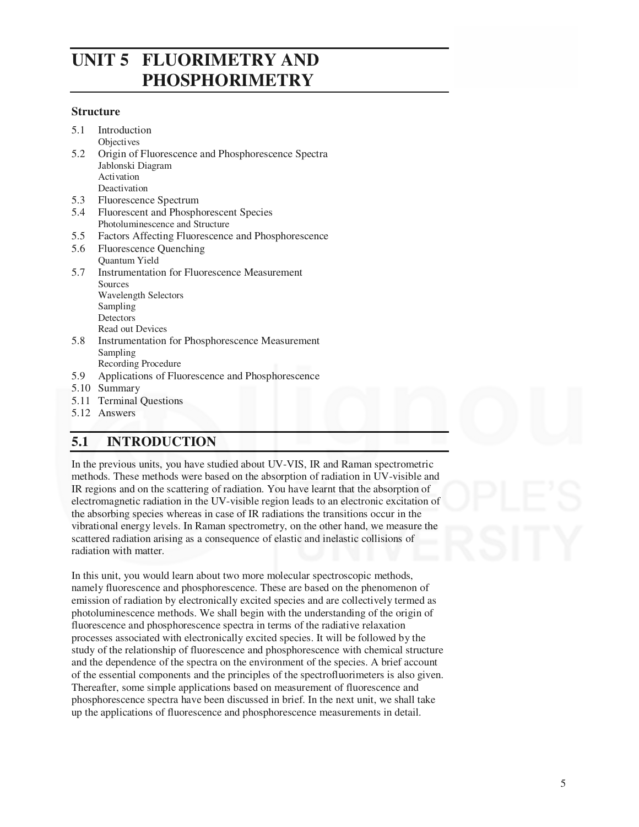# **UNIT 5 FLUORIMETRY AND PHOSPHORIMETRY**

#### **Structure**

| 5.1 | Introduction                                           |
|-----|--------------------------------------------------------|
|     | <b>Objectives</b>                                      |
| 5.2 | Origin of Fluorescence and Phosphorescence Spectra     |
|     | Jablonski Diagram                                      |
|     | Activation                                             |
|     | Deactivation                                           |
| 5.3 | Fluorescence Spectrum                                  |
| 5.4 | Fluorescent and Phosphorescent Species                 |
|     | Photoluminescence and Structure                        |
| 5.5 | Factors Affecting Fluorescence and Phosphorescence     |
| 5.6 | Fluorescence Quenching                                 |
|     | Quantum Yield                                          |
| 5.7 | <b>Instrumentation for Fluorescence Measurement</b>    |
|     | Sources                                                |
|     | <b>Wavelength Selectors</b>                            |
|     | Sampling                                               |
|     | Detectors                                              |
|     | Read out Devices                                       |
| 5.8 | <b>Instrumentation for Phosphorescence Measurement</b> |
|     | Sampling                                               |
|     | Recording Procedure                                    |
| 5.9 | Applications of Fluorescence and Phosphorescence       |
|     | 5.10 Summary                                           |
|     | 5.11 Terminal Questions                                |
| 512 | Anoutare                                               |

#### 5.12 Answers

# **5.1 INTRODUCTION**

In the previous units, you have studied about UV-VIS, IR and Raman spectrometric methods. These methods were based on the absorption of radiation in UV-visible and IR regions and on the scattering of radiation. You have learnt that the absorption of electromagnetic radiation in the UV-visible region leads to an electronic excitation of the absorbing species whereas in case of IR radiations the transitions occur in the vibrational energy levels. In Raman spectrometry, on the other hand, we measure the scattered radiation arising as a consequence of elastic and inelastic collisions of radiation with matter.

In this unit, you would learn about two more molecular spectroscopic methods, namely fluorescence and phosphorescence. These are based on the phenomenon of emission of radiation by electronically excited species and are collectively termed as photoluminescence methods. We shall begin with the understanding of the origin of fluorescence and phosphorescence spectra in terms of the radiative relaxation processes associated with electronically excited species. It will be followed by the study of the relationship of fluorescence and phosphorescence with chemical structure and the dependence of the spectra on the environment of the species. A brief account of the essential components and the principles of the spectrofluorimeters is also given. Thereafter, some simple applications based on measurement of fluorescence and phosphorescence spectra have been discussed in brief. In the next unit, we shall take up the applications of fluorescence and phosphorescence measurements in detail.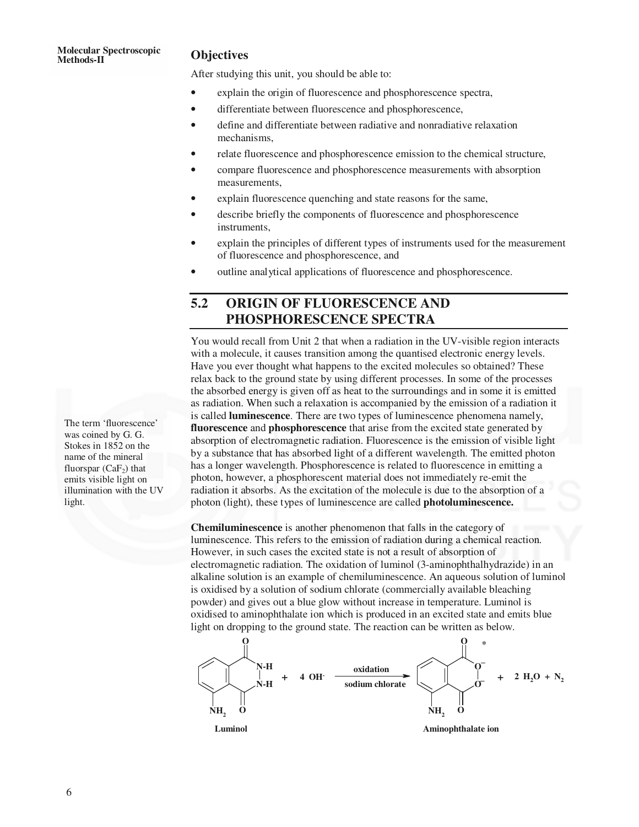# **Molecular Spectroscopic Methods-II Objectives**

After studying this unit, you should be able to:

- explain the origin of fluorescence and phosphorescence spectra,
- differentiate between fluorescence and phosphorescence,
- define and differentiate between radiative and nonradiative relaxation mechanisms,
- relate fluorescence and phosphorescence emission to the chemical structure,
- compare fluorescence and phosphorescence measurements with absorption measurements,
- explain fluorescence quenching and state reasons for the same,
- describe briefly the components of fluorescence and phosphorescence instruments,
- explain the principles of different types of instruments used for the measurement of fluorescence and phosphorescence, and
- outline analytical applications of fluorescence and phosphorescence.

# **5.2 ORIGIN OF FLUORESCENCE AND PHOSPHORESCENCE SPECTRA**

You would recall from Unit 2 that when a radiation in the UV-visible region interacts with a molecule, it causes transition among the quantised electronic energy levels. Have you ever thought what happens to the excited molecules so obtained? These relax back to the ground state by using different processes. In some of the processes the absorbed energy is given off as heat to the surroundings and in some it is emitted as radiation. When such a relaxation is accompanied by the emission of a radiation it is called **luminescence**. There are two types of luminescence phenomena namely, **fluorescence** and **phosphorescence** that arise from the excited state generated by absorption of electromagnetic radiation. Fluorescence is the emission of visible light by a substance that has absorbed light of a different wavelength. The emitted photon has a longer wavelength. Phosphorescence is related to fluorescence in emitting a photon, however, a phosphorescent material does not immediately re-emit the radiation it absorbs. As the excitation of the molecule is due to the absorption of a photon (light), these types of luminescence are called **photoluminescence.**

**Chemiluminescence** is another phenomenon that falls in the category of luminescence. This refers to the emission of radiation during a chemical reaction. However, in such cases the excited state is not a result of absorption of electromagnetic radiation. The oxidation of luminol (3-aminophthalhydrazide) in an alkaline solution is an example of chemiluminescence. An aqueous solution of luminol is oxidised by a solution of sodium chlorate (commercially available bleaching powder) and gives out a blue glow without increase in temperature. Luminol is oxidised to aminophthalate ion which is produced in an excited state and emits blue light on dropping to the ground state. The reaction can be written as below.



The term 'fluorescence' was coined by G. G. Stokes in 1852 on the name of the mineral fluorspar  $(CaF<sub>2</sub>)$  that emits visible light on illumination with the UV light.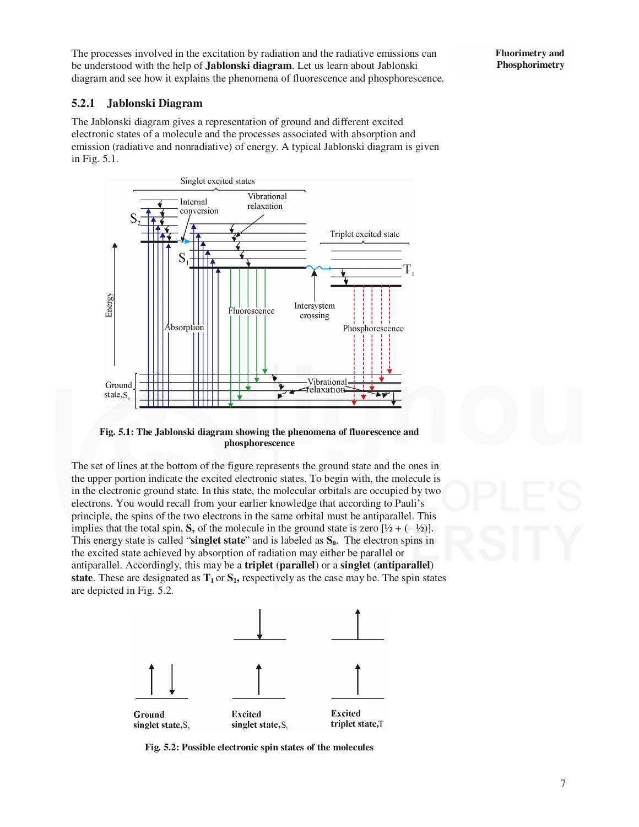The processes involved in the excitation by radiation and the radiative emissions can be understood with the help of **Jablonski diagram**. Let us learn about Jablonski diagram and see how it explains the phenomena of fluorescence and phosphorescence.

#### **5.2.1 Jablonski Diagram**

The Jablonski diagram gives a representation of ground and different excited electronic states of a molecule and the processes associated with absorption and emission (radiative and nonradiative) of energy. A typical Jablonski diagram is given in Fig. 5.1.



**Fig. 5.1: The Jablonski diagram showing the phenomena of fluorescence and phosphorescence** 

The set of lines at the bottom of the figure represents the ground state and the ones in the upper portion indicate the excited electronic states. To begin with, the molecule is in the electronic ground state. In this state, the molecular orbitals are occupied by two electrons. You would recall from your earlier knowledge that according to Pauli's principle, the spins of the two electrons in the same orbital must be antiparallel. This implies that the total spin, **S**, of the molecule in the ground state is zero  $[\frac{1}{2} + (-\frac{1}{2})]$ . This energy state is called "**singlet state**" and is labeled as **S0**. The electron spins in the excited state achieved by absorption of radiation may either be parallel or antiparallel. Accordingly, this may be a **triplet** (**parallel**) or a **singlet** (**antiparallel**) **state**. These are designated as  $T_1$  or  $S_1$ , respectively as the case may be. The spin states are depicted in Fig. 5.2.



**Fig. 5.2: Possible electronic spin states of the molecules** 

**Fluorimetry and Phosphorimetry**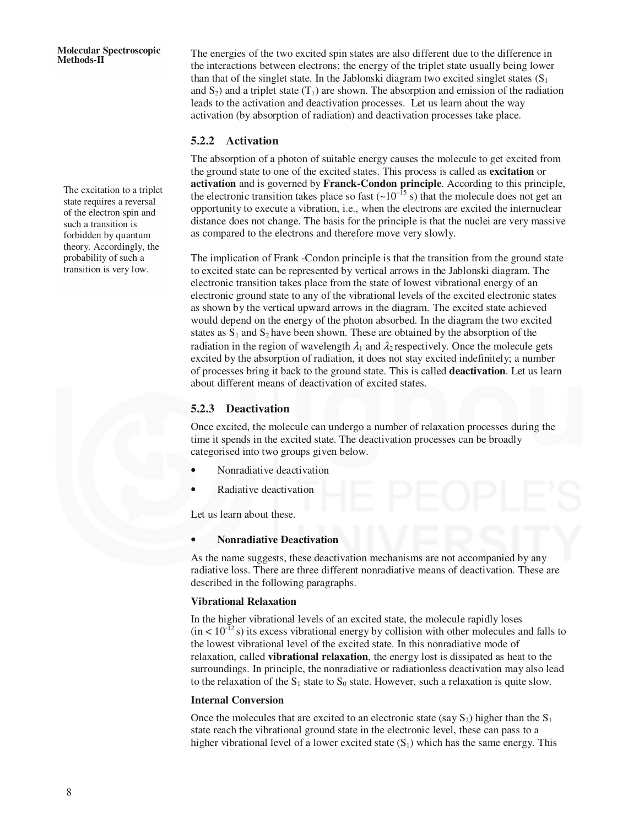The excitation to a triplet state requires a reversal of the electron spin and such a transition is forbidden by quantum theory. Accordingly, the probability of such a transition is very low.

The energies of the two excited spin states are also different due to the difference in the interactions between electrons; the energy of the triplet state usually being lower than that of the singlet state. In the Jablonski diagram two excited singlet states  $(S_1)$ and  $S_2$ ) and a triplet state (T<sub>1</sub>) are shown. The absorption and emission of the radiation leads to the activation and deactivation processes. Let us learn about the way activation (by absorption of radiation) and deactivation processes take place.

#### **5.2.2 Activation**

The absorption of a photon of suitable energy causes the molecule to get excited from the ground state to one of the excited states. This process is called as **excitation** or **activation** and is governed by **Franck-Condon principle**. According to this principle, the electronic transition takes place so fast  $(-10^{-15} \text{ s})$  that the molecule does not get an opportunity to execute a vibration, i.e., when the electrons are excited the internuclear distance does not change. The basis for the principle is that the nuclei are very massive as compared to the electrons and therefore move very slowly.

The implication of Frank -Condon principle is that the transition from the ground state to excited state can be represented by vertical arrows in the Jablonski diagram. The electronic transition takes place from the state of lowest vibrational energy of an electronic ground state to any of the vibrational levels of the excited electronic states as shown by the vertical upward arrows in the diagram. The excited state achieved would depend on the energy of the photon absorbed. In the diagram the two excited states as  $S_1$  and  $S_2$  have been shown. These are obtained by the absorption of the radiation in the region of wavelength  $\lambda_1$  and  $\lambda_2$  respectively. Once the molecule gets excited by the absorption of radiation, it does not stay excited indefinitely; a number of processes bring it back to the ground state. This is called **deactivation**. Let us learn about different means of deactivation of excited states.

#### **5.2.3 Deactivation**

Once excited, the molecule can undergo a number of relaxation processes during the time it spends in the excited state. The deactivation processes can be broadly categorised into two groups given below.

- Nonradiative deactivation
- Radiative deactivation

Let us learn about these.

#### • **Nonradiative Deactivation**

As the name suggests, these deactivation mechanisms are not accompanied by any radiative loss. There are three different nonradiative means of deactivation. These are described in the following paragraphs.

#### **Vibrational Relaxation**

In the higher vibrational levels of an excited state, the molecule rapidly loses  $(in < 10^{-12}s)$  its excess vibrational energy by collision with other molecules and falls to the lowest vibrational level of the excited state. In this nonradiative mode of relaxation, called **vibrational relaxation**, the energy lost is dissipated as heat to the surroundings. In principle, the nonradiative or radiationless deactivation may also lead to the relaxation of the  $S_1$  state to  $S_0$  state. However, such a relaxation is quite slow.

#### **Internal Conversion**

Once the molecules that are excited to an electronic state (say  $S_2$ ) higher than the  $S_1$ state reach the vibrational ground state in the electronic level, these can pass to a higher vibrational level of a lower excited state  $(S_1)$  which has the same energy. This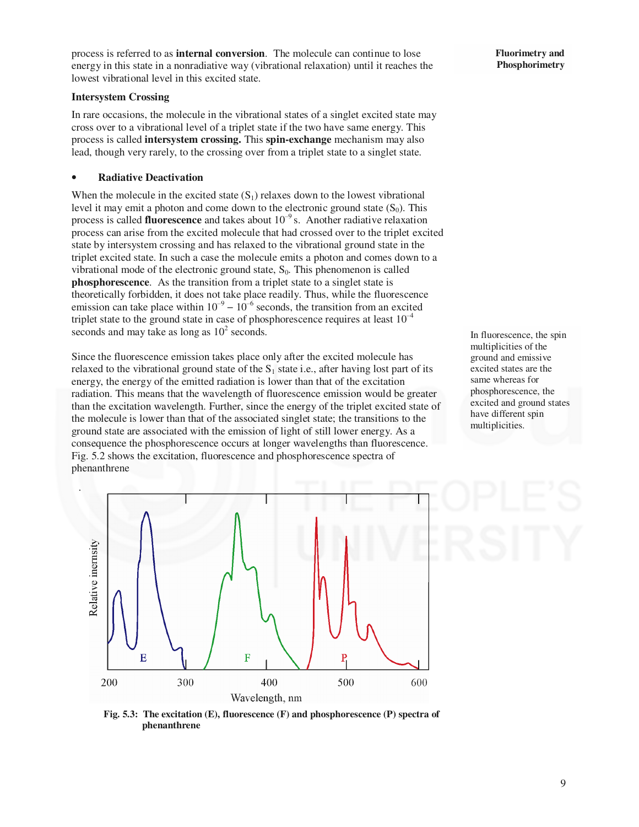process is referred to as **internal conversion**. The molecule can continue to lose energy in this state in a nonradiative way (vibrational relaxation) until it reaches the lowest vibrational level in this excited state.

#### **Intersystem Crossing**

In rare occasions, the molecule in the vibrational states of a singlet excited state may cross over to a vibrational level of a triplet state if the two have same energy. This process is called **intersystem crossing.** This **spin-exchange** mechanism may also lead, though very rarely, to the crossing over from a triplet state to a singlet state.

#### • **Radiative Deactivation**

When the molecule in the excited state  $(S_1)$  relaxes down to the lowest vibrational level it may emit a photon and come down to the electronic ground state  $(S_0)$ . This process is called **fluorescence** and takes about 10‒<sup>9</sup>s. Another radiative relaxation process can arise from the excited molecule that had crossed over to the triplet excited state by intersystem crossing and has relaxed to the vibrational ground state in the triplet excited state. In such a case the molecule emits a photon and comes down to a vibrational mode of the electronic ground state,  $S_0$ . This phenomenon is called **phosphorescence**. As the transition from a triplet state to a singlet state is theoretically forbidden, it does not take place readily. Thus, while the fluorescence emission can take place within  $10^{-9} - 10^{-6}$  seconds, the transition from an excited triplet state to the ground state in case of phosphorescence requires at least  $10^{-4}$ seconds and may take as long as  $10^2$  seconds.

Since the fluorescence emission takes place only after the excited molecule has relaxed to the vibrational ground state of the  $S_1$  state i.e., after having lost part of its energy, the energy of the emitted radiation is lower than that of the excitation radiation. This means that the wavelength of fluorescence emission would be greater than the excitation wavelength. Further, since the energy of the triplet excited state of the molecule is lower than that of the associated singlet state; the transitions to the ground state are associated with the emission of light of still lower energy. As a consequence the phosphorescence occurs at longer wavelengths than fluorescence. Fig. 5.2 shows the excitation, fluorescence and phosphorescence spectra of phenanthrene



In fluorescence, the spin multiplicities of the ground and emissive excited states are the same whereas for phosphorescence, the excited and ground states have different spin multiplicities.



**Fig. 5.3: The excitation (E), fluorescence (F) and phosphorescence (P) spectra of phenanthrene**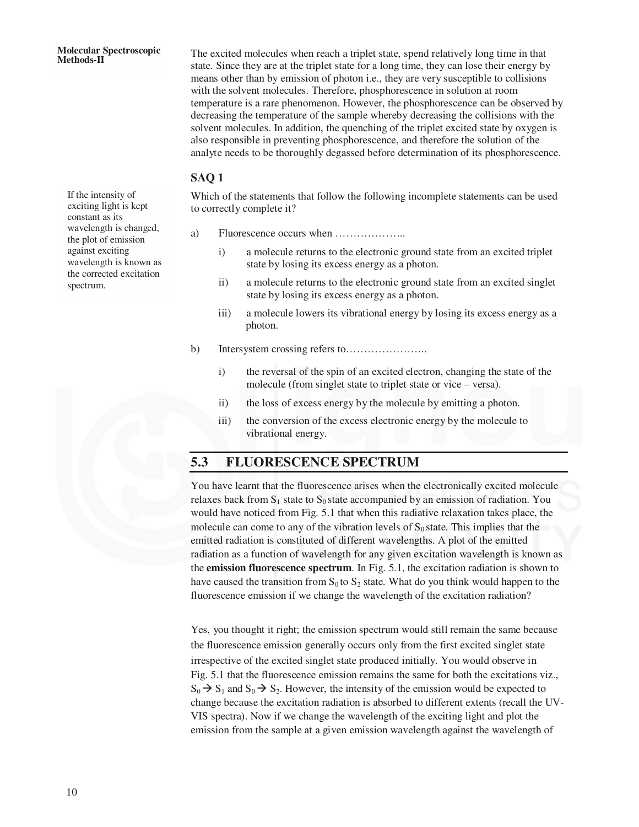The excited molecules when reach a triplet state, spend relatively long time in that state. Since they are at the triplet state for a long time, they can lose their energy by means other than by emission of photon i.e., they are very susceptible to collisions with the solvent molecules. Therefore, phosphorescence in solution at room temperature is a rare phenomenon. However, the phosphorescence can be observed by decreasing the temperature of the sample whereby decreasing the collisions with the solvent molecules. In addition, the quenching of the triplet excited state by oxygen is also responsible in preventing phosphorescence, and therefore the solution of the analyte needs to be thoroughly degassed before determination of its phosphorescence.

#### **SAQ 1**

Which of the statements that follow the following incomplete statements can be used to correctly complete it?

- a) Fluorescence occurs when ………………..
	- i) a molecule returns to the electronic ground state from an excited triplet state by losing its excess energy as a photon.
	- ii) a molecule returns to the electronic ground state from an excited singlet state by losing its excess energy as a photon.
	- iii) a molecule lowers its vibrational energy by losing its excess energy as a photon.
- b) Intersystem crossing refers to…………………..
	- i) the reversal of the spin of an excited electron, changing the state of the molecule (from singlet state to triplet state or vice – versa).
	- ii) the loss of excess energy by the molecule by emitting a photon.
	- iii) the conversion of the excess electronic energy by the molecule to vibrational energy.

## **5.3 FLUORESCENCE SPECTRUM**

You have learnt that the fluorescence arises when the electronically excited molecule relaxes back from  $S_1$  state to  $S_0$  state accompanied by an emission of radiation. You would have noticed from Fig. 5.1 that when this radiative relaxation takes place, the molecule can come to any of the vibration levels of  $S_0$  state. This implies that the emitted radiation is constituted of different wavelengths. A plot of the emitted radiation as a function of wavelength for any given excitation wavelength is known as the **emission fluorescence spectrum**. In Fig. 5.1, the excitation radiation is shown to have caused the transition from  $S_0$  to  $S_2$  state. What do you think would happen to the fluorescence emission if we change the wavelength of the excitation radiation?

Yes, you thought it right; the emission spectrum would still remain the same because the fluorescence emission generally occurs only from the first excited singlet state irrespective of the excited singlet state produced initially. You would observe in Fig. 5.1 that the fluorescence emission remains the same for both the excitations viz.,  $S_0 \rightarrow S_1$  and  $S_0 \rightarrow S_2$ . However, the intensity of the emission would be expected to change because the excitation radiation is absorbed to different extents (recall the UV-VIS spectra). Now if we change the wavelength of the exciting light and plot the emission from the sample at a given emission wavelength against the wavelength of

If the intensity of exciting light is kept constant as its wavelength is changed, the plot of emission against exciting wavelength is known as the corrected excitation spectrum.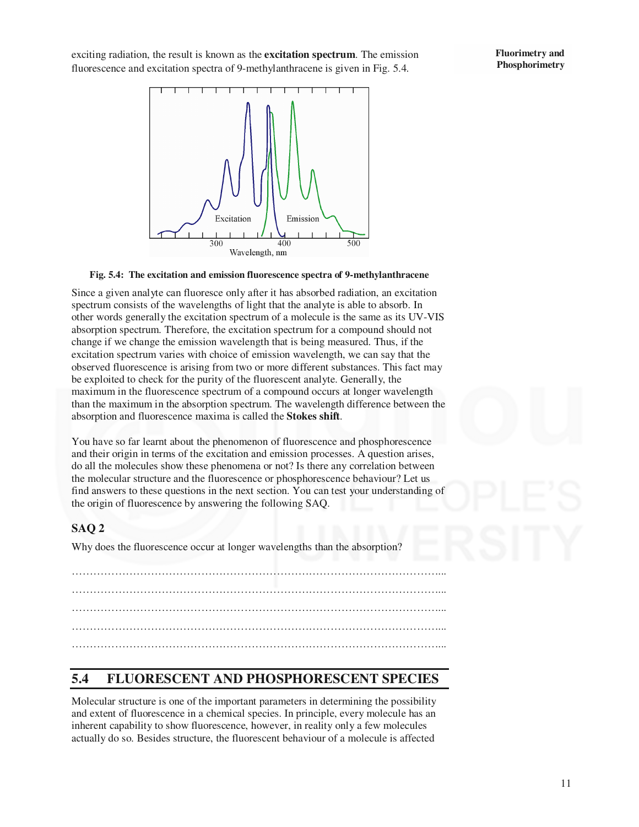exciting radiation, the result is known as the **excitation spectrum**. The emission fluorescence and excitation spectra of 9-methylanthracene is given in Fig. 5.4.





#### **Fig. 5.4: The excitation and emission fluorescence spectra of 9-methylanthracene**

Since a given analyte can fluoresce only after it has absorbed radiation, an excitation spectrum consists of the wavelengths of light that the analyte is able to absorb. In other words generally the excitation spectrum of a molecule is the same as its UV-VIS absorption spectrum. Therefore, the excitation spectrum for a compound should not change if we change the emission wavelength that is being measured. Thus, if the excitation spectrum varies with choice of emission wavelength, we can say that the observed fluorescence is arising from two or more different substances. This fact may be exploited to check for the purity of the fluorescent analyte. Generally, the maximum in the fluorescence spectrum of a compound occurs at longer wavelength than the maximum in the absorption spectrum. The wavelength difference between the absorption and fluorescence maxima is called the **Stokes shift**.

You have so far learnt about the phenomenon of fluorescence and phosphorescence and their origin in terms of the excitation and emission processes. A question arises, do all the molecules show these phenomena or not? Is there any correlation between the molecular structure and the fluorescence or phosphorescence behaviour? Let us find answers to these questions in the next section. You can test your understanding of the origin of fluorescence by answering the following SAQ.

#### **SAQ 2**

Why does the fluorescence occur at longer wavelengths than the absorption?

…………………………………………………………………………………………... …………………………………………………………………………………………... …………………………………………………………………………………………... …………………………………………………………………………………………...

## **5.4 FLUORESCENT AND PHOSPHORESCENT SPECIES**

Molecular structure is one of the important parameters in determining the possibility and extent of fluorescence in a chemical species. In principle, every molecule has an inherent capability to show fluorescence, however, in reality only a few molecules actually do so. Besides structure, the fluorescent behaviour of a molecule is affected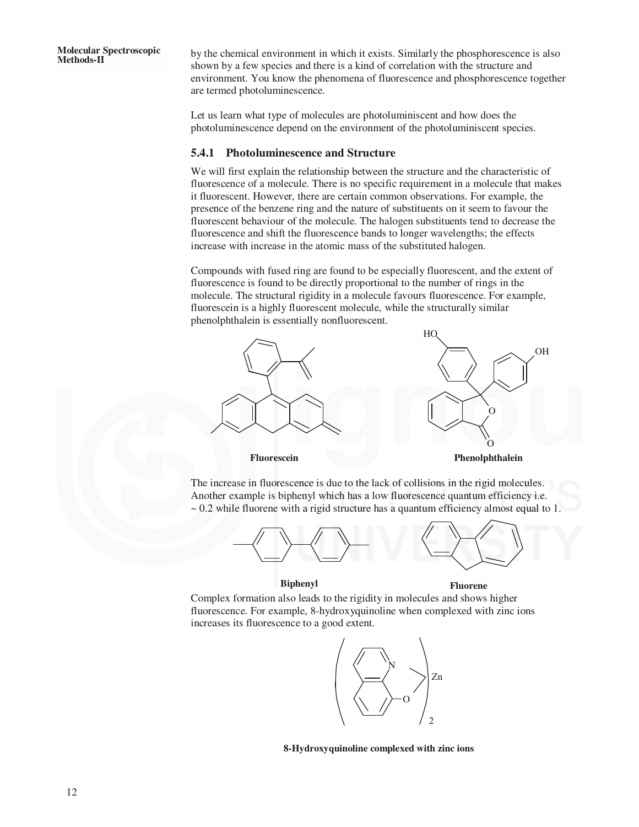by the chemical environment in which it exists. Similarly the phosphorescence is also shown by a few species and there is a kind of correlation with the structure and environment. You know the phenomena of fluorescence and phosphorescence together are termed photoluminescence.

Let us learn what type of molecules are photoluminiscent and how does the photoluminescence depend on the environment of the photoluminiscent species.

#### **5.4.1 Photoluminescence and Structure**

We will first explain the relationship between the structure and the characteristic of fluorescence of a molecule. There is no specific requirement in a molecule that makes it fluorescent. However, there are certain common observations. For example, the presence of the benzene ring and the nature of substituents on it seem to favour the fluorescent behaviour of the molecule. The halogen substituents tend to decrease the fluorescence and shift the fluorescence bands to longer wavelengths; the effects increase with increase in the atomic mass of the substituted halogen.

Compounds with fused ring are found to be especially fluorescent, and the extent of fluorescence is found to be directly proportional to the number of rings in the molecule. The structural rigidity in a molecule favours fluorescence. For example, fluorescein is a highly fluorescent molecule, while the structurally similar phenolphthalein is essentially nonfluorescent.



The increase in fluorescence is due to the lack of collisions in the rigid molecules. Another example is biphenyl which has a low fluorescence quantum efficiency i.e.  $\sim$  0.2 while fluorene with a rigid structure has a quantum efficiency almost equal to 1.



#### **Biphenyl Fluorene**

Complex formation also leads to the rigidity in molecules and shows higher fluorescence. For example, 8-hydroxyquinoline when complexed with zinc ions increases its fluorescence to a good extent.



**8-Hydroxyquinoline complexed with zinc ions**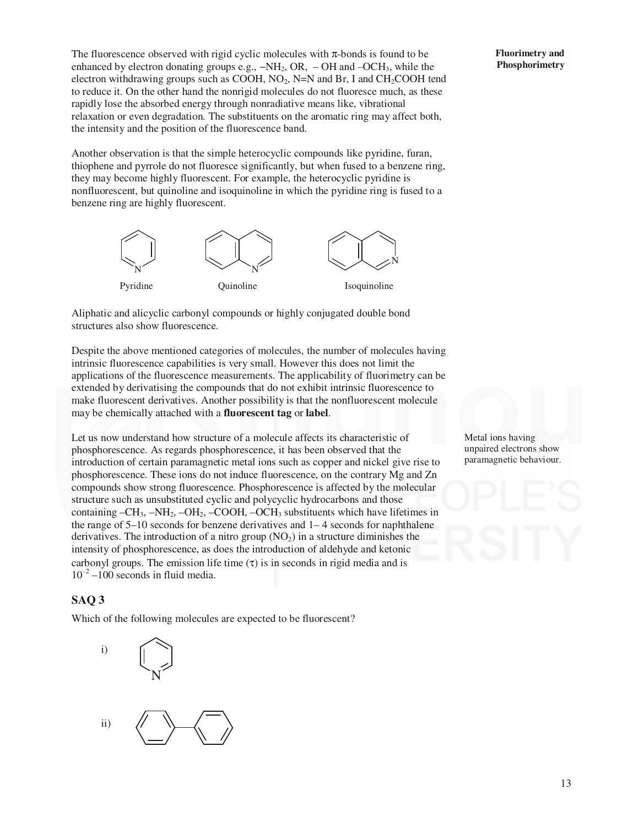The fluorescence observed with rigid cyclic molecules with  $\pi$ -bonds is found to be enhanced by electron donating groups e.g.,  $-NH_2$ , OR, – OH and  $-OCH_3$ , while the electron withdrawing groups such as COOH,  $NO<sub>2</sub>$ , N=N and Br, I and CH<sub>2</sub>COOH tend to reduce it. On the other hand the nonrigid molecules do not fluoresce much, as these rapidly lose the absorbed energy through nonradiative means like, vibrational relaxation or even degradation. The substituents on the aromatic ring may affect both, the intensity and the position of the fluorescence band.

Another observation is that the simple heterocyclic compounds like pyridine, furan, thiophene and pyrrole do not fluoresce significantly, but when fused to a benzene ring, they may become highly fluorescent. For example, the heterocyclic pyridine is nonfluorescent, but quinoline and isoquinoline in which the pyridine ring is fused to a benzene ring are highly fluorescent.



Aliphatic and alicyclic carbonyl compounds or highly conjugated double bond structures also show fluorescence.

Despite the above mentioned categories of molecules, the number of molecules having intrinsic fluorescence capabilities is very small. However this does not limit the applications of the fluorescence measurements. The applicability of fluorimetry can be extended by derivatising the compounds that do not exhibit intrinsic fluorescence to make fluorescent derivatives. Another possibility is that the nonfluorescent molecule may be chemically attached with a **fluorescent tag** or **label**.

Let us now understand how structure of a molecule affects its characteristic of phosphorescence. As regards phosphorescence, it has been observed that the introduction of certain paramagnetic metal ions such as copper and nickel give rise to phosphorescence. These ions do not induce fluorescence, on the contrary Mg and Zn compounds show strong fluorescence. Phosphorescence is affected by the molecular structure such as unsubstituted cyclic and polycyclic hydrocarbons and those containing  $-CH_3$ ,  $-NH_2$ ,  $-OH_2$ ,  $-COOH$ ,  $-OCH_3$  substituents which have lifetimes in the range of 5–10 seconds for benzene derivatives and 1– 4 seconds for naphthalene derivatives. The introduction of a nitro group  $(NO<sub>2</sub>)$  in a structure diminishes the intensity of phosphorescence, as does the introduction of aldehyde and ketonic carbonyl groups. The emission life time  $(\tau)$  is in seconds in rigid media and is  $10^{-2} - 100$  seconds in fluid media.

#### **SAQ 3**

Which of the following molecules are expected to be fluorescent?



Metal ions having unpaired electrons show paramagnetic behaviour.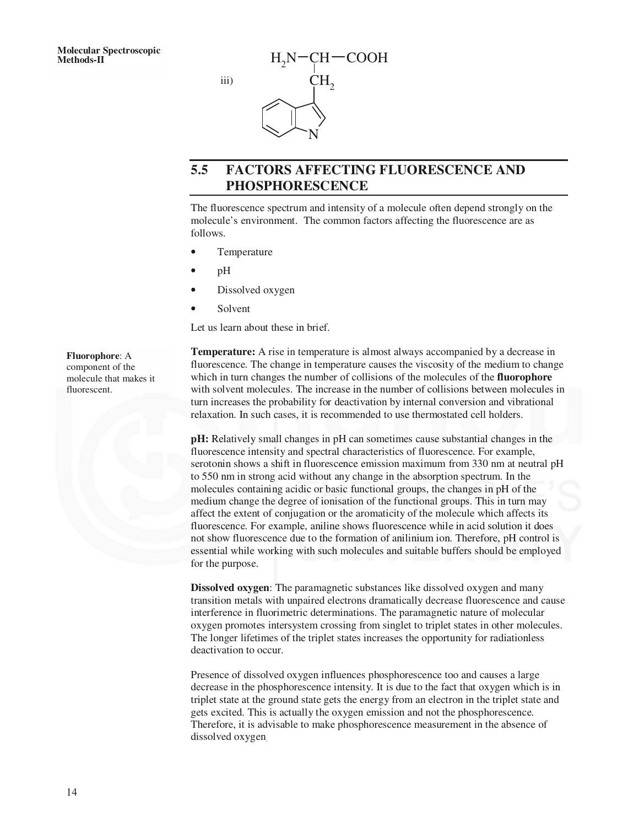

# **5.5 FACTORS AFFECTING FLUORESCENCE AND PHOSPHORESCENCE**

The fluorescence spectrum and intensity of a molecule often depend strongly on the molecule's environment. The common factors affecting the fluorescence are as follows.

Temperature

iii)

- pH
- Dissolved oxygen
- **Solvent**

Let us learn about these in brief.

**Temperature:** A rise in temperature is almost always accompanied by a decrease in fluorescence. The change in temperature causes the viscosity of the medium to change which in turn changes the number of collisions of the molecules of the **fluorophore**  with solvent molecules. The increase in the number of collisions between molecules in turn increases the probability for deactivation by internal conversion and vibrational relaxation. In such cases, it is recommended to use thermostated cell holders.

**pH:** Relatively small changes in pH can sometimes cause substantial changes in the fluorescence intensity and spectral characteristics of fluorescence. For example, serotonin shows a shift in fluorescence emission maximum from 330 nm at neutral pH to 550 nm in strong acid without any change in the absorption spectrum. In the molecules containing acidic or basic functional groups, the changes in pH of the medium change the degree of ionisation of the functional groups. This in turn may affect the extent of conjugation or the aromaticity of the molecule which affects its fluorescence. For example, aniline shows fluorescence while in acid solution it does not show fluorescence due to the formation of anilinium ion. Therefore, pH control is essential while working with such molecules and suitable buffers should be employed for the purpose.

**Dissolved oxygen**: The paramagnetic substances like dissolved oxygen and many transition metals with unpaired electrons dramatically decrease fluorescence and cause interference in fluorimetric determinations. The paramagnetic nature of molecular oxygen promotes intersystem crossing from singlet to triplet states in other molecules. The longer lifetimes of the triplet states increases the opportunity for radiationless deactivation to occur.

Presence of dissolved oxygen influences phosphorescence too and causes a large decrease in the phosphorescence intensity. It is due to the fact that oxygen which is in triplet state at the ground state gets the energy from an electron in the triplet state and gets excited. This is actually the oxygen emission and not the phosphorescence. Therefore, it is advisable to make phosphorescence measurement in the absence of dissolved oxygen.

**Fluorophore**: A component of the molecule that makes it fluorescent.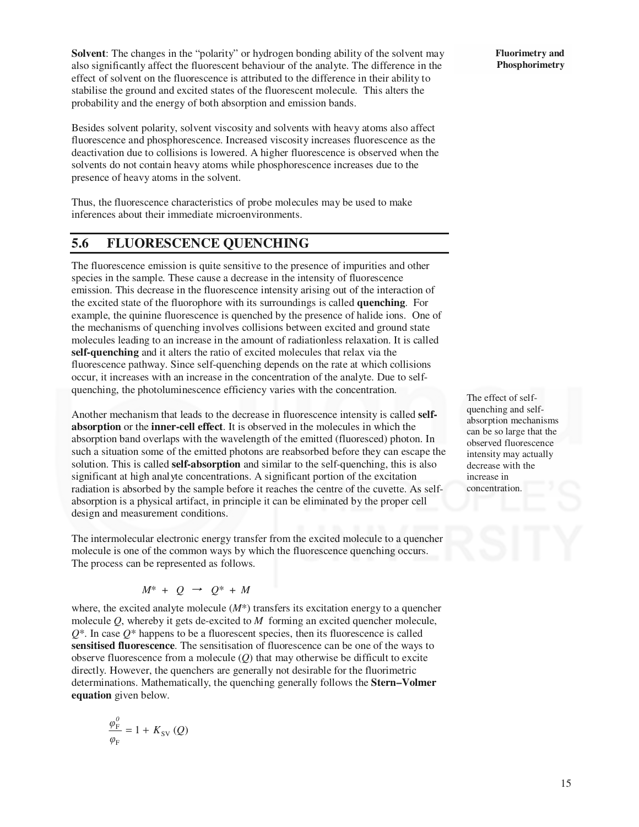**Solvent**: The changes in the "polarity" or hydrogen bonding ability of the solvent may also significantly affect the fluorescent behaviour of the analyte. The difference in the effect of solvent on the fluorescence is attributed to the difference in their ability to stabilise the ground and excited states of the fluorescent molecule. This alters the probability and the energy of both absorption and emission bands.

Besides solvent polarity, solvent viscosity and solvents with heavy atoms also affect fluorescence and phosphorescence. Increased viscosity increases fluorescence as the deactivation due to collisions is lowered. A higher fluorescence is observed when the solvents do not contain heavy atoms while phosphorescence increases due to the presence of heavy atoms in the solvent.

Thus, the fluorescence characteristics of probe molecules may be used to make inferences about their immediate microenvironments.

## **5.6 FLUORESCENCE QUENCHING**

The fluorescence emission is quite sensitive to the presence of impurities and other species in the sample. These cause a decrease in the intensity of fluorescence emission. This decrease in the fluorescence intensity arising out of the interaction of the excited state of the fluorophore with its surroundings is called **quenching**. For example, the quinine fluorescence is quenched by the presence of halide ions. One of the mechanisms of quenching involves collisions between excited and ground state molecules leading to an increase in the amount of radiationless relaxation. It is called **self-quenching** and it alters the ratio of excited molecules that relax via the fluorescence pathway. Since self-quenching depends on the rate at which collisions occur, it increases with an increase in the concentration of the analyte. Due to selfquenching, the photoluminescence efficiency varies with the concentration.

Another mechanism that leads to the decrease in fluorescence intensity is called **selfabsorption** or the **inner-cell effect**. It is observed in the molecules in which the absorption band overlaps with the wavelength of the emitted (fluoresced) photon. In such a situation some of the emitted photons are reabsorbed before they can escape the solution. This is called **self-absorption** and similar to the self-quenching, this is also significant at high analyte concentrations. A significant portion of the excitation radiation is absorbed by the sample before it reaches the centre of the cuvette. As selfabsorption is a physical artifact, in principle it can be eliminated by the proper cell design and measurement conditions.

The intermolecular electronic energy transfer from the excited molecule to a quencher molecule is one of the common ways by which the fluorescence quenching occurs. The process can be represented as follows.

$$
M^* + Q \rightarrow Q^* + M
$$

where, the excited analyte molecule  $(M^*)$  transfers its excitation energy to a quencher molecule *Q*, whereby it gets de-excited to *M* forming an excited quencher molecule,  $Q^*$ . In case  $Q^*$  happens to be a fluorescent species, then its fluorescence is called **sensitised fluorescence**. The sensitisation of fluorescence can be one of the ways to observe fluorescence from a molecule (*Q*) that may otherwise be difficult to excite directly. However, the quenchers are generally not desirable for the fluorimetric determinations. Mathematically, the quenching generally follows the **Stern–Volmer equation** given below.

$$
\frac{\varphi_{\rm F}^{\rm 0}}{\varphi_{\rm F}}=1+K_{\rm SV}\left(Q\right)
$$

**Fluorimetry and Phosphorimetry** 

The effect of selfquenching and selfabsorption mechanisms can be so large that the observed fluorescence intensity may actually decrease with the increase in concentration.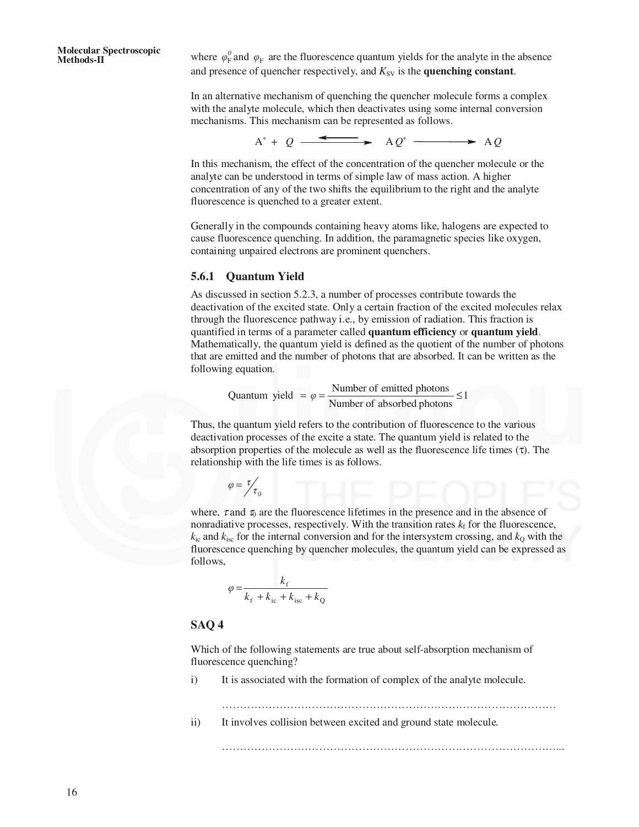**Molecular Spectroscopic Methods-II** where *<sup>0</sup>*

 $\varphi_{\rm F}^{\prime}$  and  $\varphi_{\rm F}$  are the fluorescence quantum yields for the analyte in the absence and presence of quencher respectively, and  $K_{SV}$  is the **quenching constant**.

In an alternative mechanism of quenching the quencher molecule forms a complex with the analyte molecule, which then deactivates using some internal conversion mechanisms. This mechanism can be represented as follows.

 $A^* + O \xrightarrow{\leftarrow} A O^* \xrightarrow{\longrightarrow} A O$ 

In this mechanism, the effect of the concentration of the quencher molecule or the analyte can be understood in terms of simple law of mass action. A higher concentration of any of the two shifts the equilibrium to the right and the analyte fluorescence is quenched to a greater extent.

Generally in the compounds containing heavy atoms like, halogens are expected to cause fluorescence quenching. In addition, the paramagnetic species like oxygen, containing unpaired electrons are prominent quenchers.

#### **5.6.1 Quantum Yield**

As discussed in section 5.2.3, a number of processes contribute towards the deactivation of the excited state. Only a certain fraction of the excited molecules relax through the fluorescence pathway i.e., by emission of radiation. This fraction is quantified in terms of a parameter called **quantum efficiency** or **quantum yield**. Mathematically, the quantum yield is defined as the quotient of the number of photons that are emitted and the number of photons that are absorbed. It can be written as the following equation.

Quantum yield = 
$$
\varphi = \frac{\text{Number of emitted photons}}{\text{Number of absorbed photons}} \le 1
$$

Thus, the quantum yield refers to the contribution of fluorescence to the various deactivation processes of the excite a state. The quantum yield is related to the absorption properties of the molecule as well as the fluorescence life times  $(\tau)$ . The relationship with the life times is as follows.

$$
\varphi = \frac{\tau}{\tau_0}
$$

where,  $\tau$  and  $\tau_0$  are the fluorescence lifetimes in the presence and in the absence of nonradiative processes, respectively. With the transition rates  $k_f$  for the fluorescence,  $k_{\text{is}}$  and  $k_{\text{is}}$  for the internal conversion and for the intersystem crossing, and  $k_{\text{o}}$  with the fluorescence quenching by quencher molecules, the quantum yield can be expressed as follows,

$$
\varphi = \frac{k_{\rm f}}{k_{\rm f} + k_{\rm ic} + k_{\rm isc} + k_{\rm Q}}
$$

#### **SAQ 4**

Which of the following statements are true about self-absorption mechanism of fluorescence quenching?

i) It is associated with the formation of complex of the analyte molecule.

………………………………………………………………………………… ii) It involves collision between excited and ground state molecule.

…………………………………………………………………………………...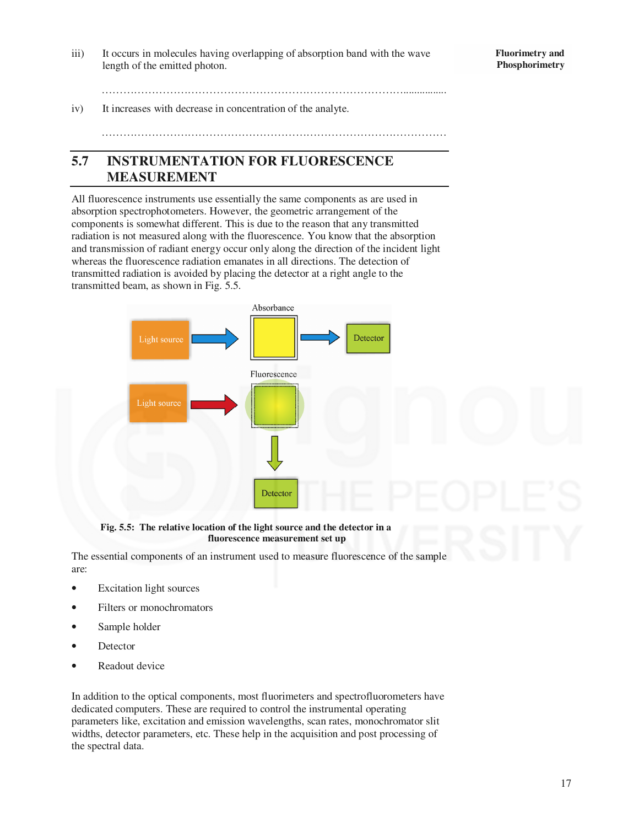iii) It occurs in molecules having overlapping of absorption band with the wave length of the emitted photon.

…………………………………………………………………………................

iv) It increases with decrease in concentration of the analyte.

# **5.7 INSTRUMENTATION FOR FLUORESCENCE MEASUREMENT**

All fluorescence instruments use essentially the same components as are used in absorption spectrophotometers. However, the geometric arrangement of the components is somewhat different. This is due to the reason that any transmitted radiation is not measured along with the fluorescence. You know that the absorption and transmission of radiant energy occur only along the direction of the incident light whereas the fluorescence radiation emanates in all directions. The detection of transmitted radiation is avoided by placing the detector at a right angle to the transmitted beam, as shown in Fig. 5.5.



**Fig. 5.5: The relative location of the light source and the detector in a fluorescence measurement set up** 

The essential components of an instrument used to measure fluorescence of the sample are:

- Excitation light sources
- Filters or monochromators
- Sample holder
- **Detector**
- Readout device

In addition to the optical components, most fluorimeters and spectrofluorometers have dedicated computers. These are required to control the instrumental operating parameters like, excitation and emission wavelengths, scan rates, monochromator slit widths, detector parameters, etc. These help in the acquisition and post processing of the spectral data.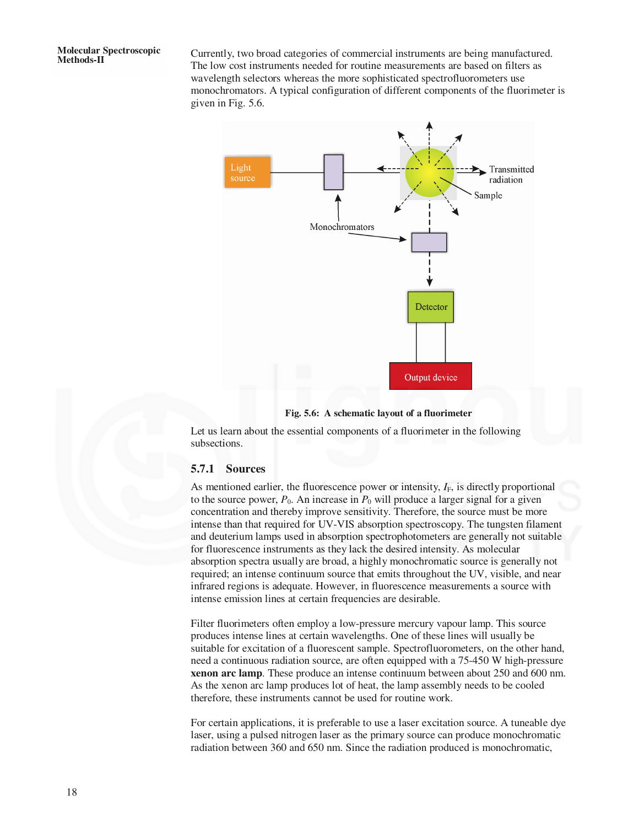Currently, two broad categories of commercial instruments are being manufactured. The low cost instruments needed for routine measurements are based on filters as wavelength selectors whereas the more sophisticated spectrofluorometers use monochromators. A typical configuration of different components of the fluorimeter is given in Fig. 5.6.



#### **Fig. 5.6: A schematic layout of a fluorimeter**

Let us learn about the essential components of a fluorimeter in the following subsections.

#### **5.7.1 Sources**

As mentioned earlier, the fluorescence power or intensity,  $I_F$ , is directly proportional to the source power,  $P_0$ . An increase in  $P_0$  will produce a larger signal for a given concentration and thereby improve sensitivity. Therefore, the source must be more intense than that required for UV-VIS absorption spectroscopy. The tungsten filament and deuterium lamps used in absorption spectrophotometers are generally not suitable for fluorescence instruments as they lack the desired intensity. As molecular absorption spectra usually are broad, a highly monochromatic source is generally not required; an intense continuum source that emits throughout the UV, visible, and near infrared regions is adequate. However, in fluorescence measurements a source with intense emission lines at certain frequencies are desirable.

Filter fluorimeters often employ a low-pressure mercury vapour lamp. This source produces intense lines at certain wavelengths. One of these lines will usually be suitable for excitation of a fluorescent sample. Spectrofluorometers, on the other hand, need a continuous radiation source, are often equipped with a 75-450 W high-pressure **xenon arc lamp**. These produce an intense continuum between about 250 and 600 nm. As the xenon arc lamp produces lot of heat, the lamp assembly needs to be cooled therefore, these instruments cannot be used for routine work.

For certain applications, it is preferable to use a laser excitation source. A tuneable dye laser, using a pulsed nitrogen laser as the primary source can produce monochromatic radiation between 360 and 650 nm. Since the radiation produced is monochromatic,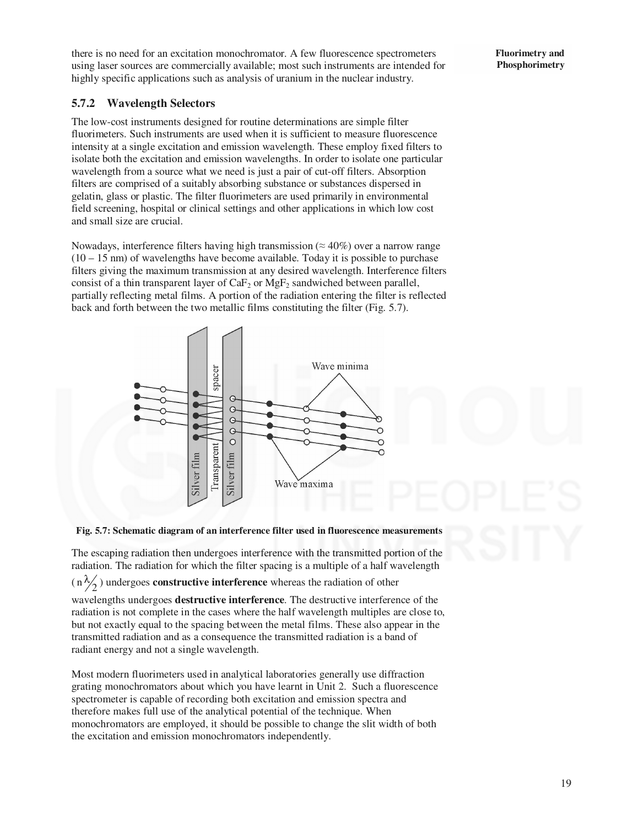there is no need for an excitation monochromator. A few fluorescence spectrometers using laser sources are commercially available; most such instruments are intended for highly specific applications such as analysis of uranium in the nuclear industry.

### **5.7.2 Wavelength Selectors**

The low-cost instruments designed for routine determinations are simple filter fluorimeters. Such instruments are used when it is sufficient to measure fluorescence intensity at a single excitation and emission wavelength. These employ fixed filters to isolate both the excitation and emission wavelengths. In order to isolate one particular wavelength from a source what we need is just a pair of cut-off filters. Absorption filters are comprised of a suitably absorbing substance or substances dispersed in gelatin, glass or plastic. The filter fluorimeters are used primarily in environmental field screening, hospital or clinical settings and other applications in which low cost and small size are crucial.

Nowadays, interference filters having high transmission ( $\approx$  40%) over a narrow range  $(10 - 15 \text{ nm})$  of wavelengths have become available. Today it is possible to purchase filters giving the maximum transmission at any desired wavelength. Interference filters consist of a thin transparent layer of  $CaF<sub>2</sub>$  or  $MgF<sub>2</sub>$  sandwiched between parallel, partially reflecting metal films. A portion of the radiation entering the filter is reflected back and forth between the two metallic films constituting the filter (Fig. 5.7).



**Fig. 5.7: Schematic diagram of an interference filter used in fluorescence measurements** 

The escaping radiation then undergoes interference with the transmitted portion of the radiation. The radiation for which the filter spacing is a multiple of a half wavelength

 $\left(n\frac{\lambda}{2}\right)$  undergoes **constructive interference** whereas the radiation of other

wavelengths undergoes **destructive interference**. The destructive interference of the radiation is not complete in the cases where the half wavelength multiples are close to, but not exactly equal to the spacing between the metal films. These also appear in the transmitted radiation and as a consequence the transmitted radiation is a band of radiant energy and not a single wavelength.

Most modern fluorimeters used in analytical laboratories generally use diffraction grating monochromators about which you have learnt in Unit 2. Such a fluorescence spectrometer is capable of recording both excitation and emission spectra and therefore makes full use of the analytical potential of the technique. When monochromators are employed, it should be possible to change the slit width of both the excitation and emission monochromators independently.

**Fluorimetry and Phosphorimetry**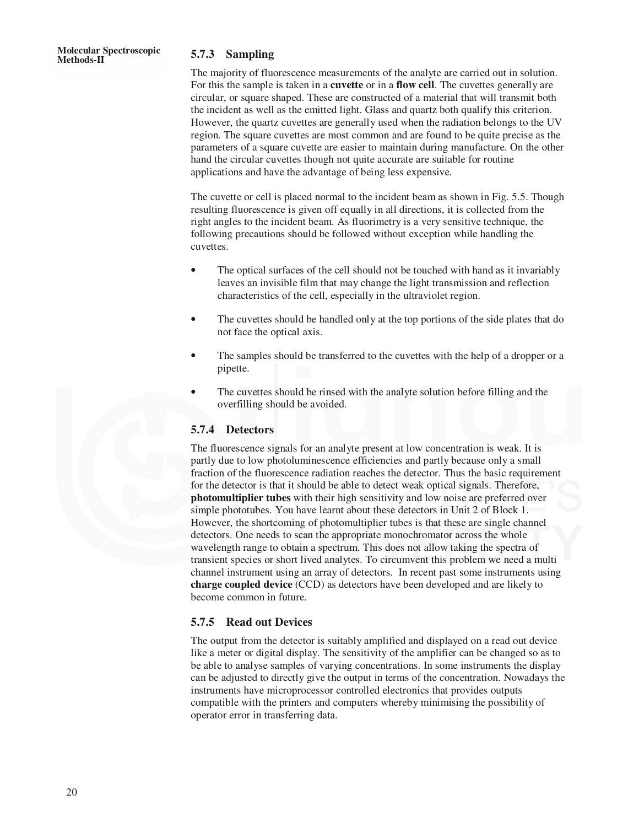#### **Methods-II 5.7.3 Sampling**

The majority of fluorescence measurements of the analyte are carried out in solution. For this the sample is taken in a **cuvette** or in a **flow cell**. The cuvettes generally are circular, or square shaped. These are constructed of a material that will transmit both the incident as well as the emitted light. Glass and quartz both qualify this criterion. However, the quartz cuvettes are generally used when the radiation belongs to the UV region. The square cuvettes are most common and are found to be quite precise as the parameters of a square cuvette are easier to maintain during manufacture. On the other hand the circular cuvettes though not quite accurate are suitable for routine applications and have the advantage of being less expensive.

The cuvette or cell is placed normal to the incident beam as shown in Fig. 5.5. Though resulting fluorescence is given off equally in all directions, it is collected from the right angles to the incident beam. As fluorimetry is a very sensitive technique, the following precautions should be followed without exception while handling the cuvettes.

- The optical surfaces of the cell should not be touched with hand as it invariably leaves an invisible film that may change the light transmission and reflection characteristics of the cell, especially in the ultraviolet region.
- The cuvettes should be handled only at the top portions of the side plates that do not face the optical axis.
- The samples should be transferred to the cuvettes with the help of a dropper or a pipette.
- The cuvettes should be rinsed with the analyte solution before filling and the overfilling should be avoided.

#### **5.7.4 Detectors**

The fluorescence signals for an analyte present at low concentration is weak. It is partly due to low photoluminescence efficiencies and partly because only a small fraction of the fluorescence radiation reaches the detector. Thus the basic requirement for the detector is that it should be able to detect weak optical signals. Therefore, **photomultiplier tubes** with their high sensitivity and low noise are preferred over simple phototubes. You have learnt about these detectors in Unit 2 of Block 1. However, the shortcoming of photomultiplier tubes is that these are single channel detectors. One needs to scan the appropriate monochromator across the whole wavelength range to obtain a spectrum. This does not allow taking the spectra of transient species or short lived analytes. To circumvent this problem we need a multi channel instrument using an array of detectors. In recent past some instruments using **charge coupled device** (CCD) as detectors have been developed and are likely to become common in future.

#### **5.7.5 Read out Devices**

The output from the detector is suitably amplified and displayed on a read out device like a meter or digital display. The sensitivity of the amplifier can be changed so as to be able to analyse samples of varying concentrations. In some instruments the display can be adjusted to directly give the output in terms of the concentration. Nowadays the instruments have microprocessor controlled electronics that provides outputs compatible with the printers and computers whereby minimising the possibility of operator error in transferring data.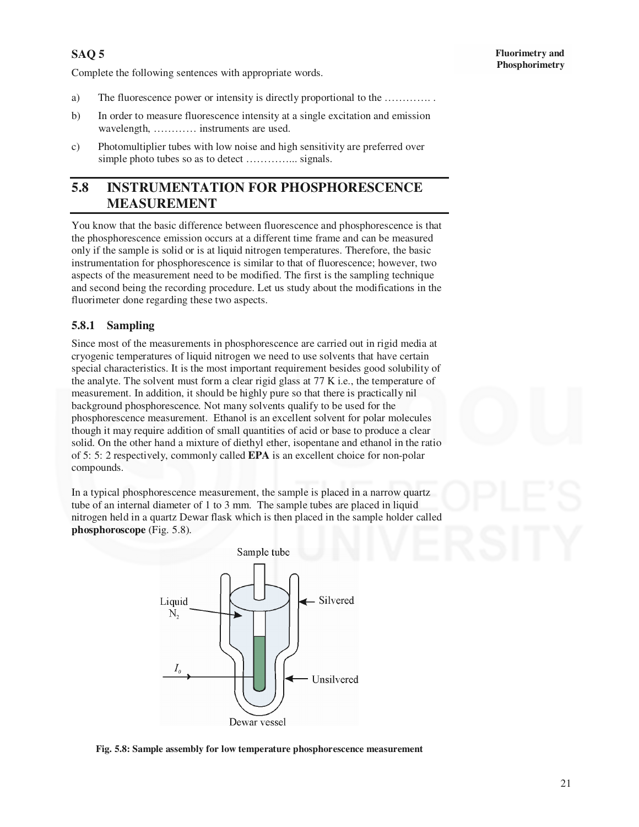Complete the following sentences with appropriate words.

- a) The fluorescence power or intensity is directly proportional to the …………. .
- b) In order to measure fluorescence intensity at a single excitation and emission wavelength, ………… instruments are used.
- c) Photomultiplier tubes with low noise and high sensitivity are preferred over simple photo tubes so as to detect …………... signals.

# **5.8 INSTRUMENTATION FOR PHOSPHORESCENCE MEASUREMENT**

You know that the basic difference between fluorescence and phosphorescence is that the phosphorescence emission occurs at a different time frame and can be measured only if the sample is solid or is at liquid nitrogen temperatures. Therefore, the basic instrumentation for phosphorescence is similar to that of fluorescence; however, two aspects of the measurement need to be modified. The first is the sampling technique and second being the recording procedure. Let us study about the modifications in the fluorimeter done regarding these two aspects.

### **5.8.1 Sampling**

Since most of the measurements in phosphorescence are carried out in rigid media at cryogenic temperatures of liquid nitrogen we need to use solvents that have certain special characteristics. It is the most important requirement besides good solubility of the analyte. The solvent must form a clear rigid glass at 77 K i.e., the temperature of measurement. In addition, it should be highly pure so that there is practically nil background phosphorescence. Not many solvents qualify to be used for the phosphorescence measurement. Ethanol is an excellent solvent for polar molecules though it may require addition of small quantities of acid or base to produce a clear solid. On the other hand a mixture of diethyl ether, isopentane and ethanol in the ratio of 5: 5: 2 respectively, commonly called **EPA** is an excellent choice for non-polar compounds.

In a typical phosphorescence measurement, the sample is placed in a narrow quartz tube of an internal diameter of 1 to 3 mm. The sample tubes are placed in liquid nitrogen held in a quartz Dewar flask which is then placed in the sample holder called **phosphoroscope** (Fig. 5.8).



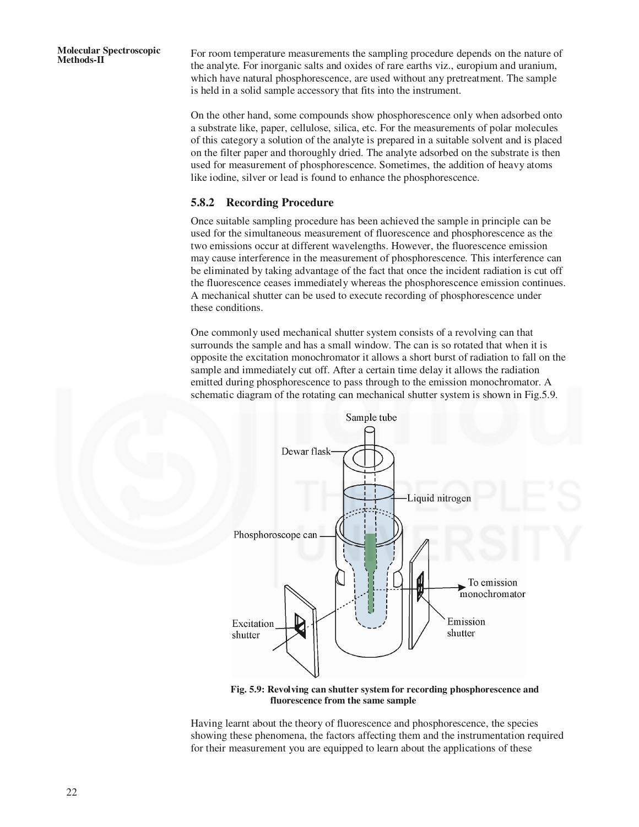For room temperature measurements the sampling procedure depends on the nature of the analyte. For inorganic salts and oxides of rare earths viz., europium and uranium, which have natural phosphorescence, are used without any pretreatment. The sample is held in a solid sample accessory that fits into the instrument.

On the other hand, some compounds show phosphorescence only when adsorbed onto a substrate like, paper, cellulose, silica, etc. For the measurements of polar molecules of this category a solution of the analyte is prepared in a suitable solvent and is placed on the filter paper and thoroughly dried. The analyte adsorbed on the substrate is then used for measurement of phosphorescence. Sometimes, the addition of heavy atoms like iodine, silver or lead is found to enhance the phosphorescence.

#### **5.8.2 Recording Procedure**

Once suitable sampling procedure has been achieved the sample in principle can be used for the simultaneous measurement of fluorescence and phosphorescence as the two emissions occur at different wavelengths. However, the fluorescence emission may cause interference in the measurement of phosphorescence. This interference can be eliminated by taking advantage of the fact that once the incident radiation is cut off the fluorescence ceases immediately whereas the phosphorescence emission continues. A mechanical shutter can be used to execute recording of phosphorescence under these conditions.

One commonly used mechanical shutter system consists of a revolving can that surrounds the sample and has a small window. The can is so rotated that when it is opposite the excitation monochromator it allows a short burst of radiation to fall on the sample and immediately cut off. After a certain time delay it allows the radiation emitted during phosphorescence to pass through to the emission monochromator. A schematic diagram of the rotating can mechanical shutter system is shown in Fig.5.9.



**Fig. 5.9: Revolving can shutter system for recording phosphorescence and fluorescence from the same sample** 

Having learnt about the theory of fluorescence and phosphorescence, the species showing these phenomena, the factors affecting them and the instrumentation required for their measurement you are equipped to learn about the applications of these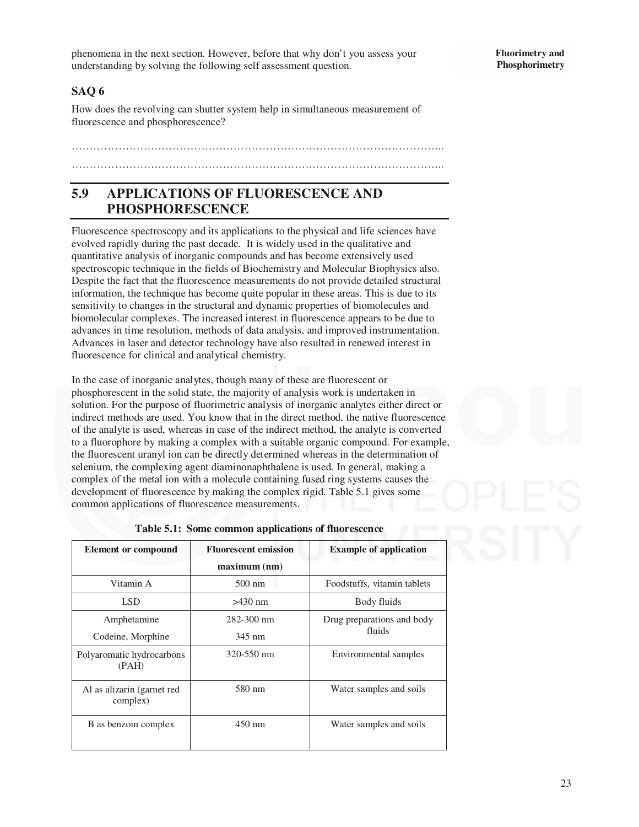phenomena in the next section. However, before that why don't you assess your understanding by solving the following self assessment question.

#### **Fluorimetry and Phosphorimetry**

### **SAQ 6**

How does the revolving can shutter system help in simultaneous measurement of fluorescence and phosphorescence?

## ………………………………………………………………………………………….. …………………………………………………………………………………………..

# **5.9 APPLICATIONS OF FLUORESCENCE AND PHOSPHORESCENCE**

Fluorescence spectroscopy and its applications to the physical and life sciences have evolved rapidly during the past decade. It is widely used in the qualitative and quantitative analysis of inorganic compounds and has become extensively used spectroscopic technique in the fields of Biochemistry and Molecular Biophysics also. Despite the fact that the fluorescence measurements do not provide detailed structural information, the technique has become quite popular in these areas. This is due to its sensitivity to changes in the structural and dynamic properties of biomolecules and biomolecular complexes. The increased interest in fluorescence appears to be due to advances in time resolution, methods of data analysis, and improved instrumentation. Advances in laser and detector technology have also resulted in renewed interest in fluorescence for clinical and analytical chemistry.

In the case of inorganic analytes, though many of these are fluorescent or phosphorescent in the solid state, the majority of analysis work is undertaken in solution. For the purpose of fluorimetric analysis of inorganic analytes either direct or indirect methods are used. You know that in the direct method, the native fluorescence of the analyte is used, whereas in case of the indirect method, the analyte is converted to a fluorophore by making a complex with a suitable organic compound. For example, the fluorescent uranyl ion can be directly determined whereas in the determination of selenium, the complexing agent diaminonaphthalene is used. In general, making a complex of the metal ion with a molecule containing fused ring systems causes the development of fluorescence by making the complex rigid. Table 5.1 gives some common applications of fluorescence measurements.

| <b>Element or compound</b>             | <b>Fluorescent emission</b> | <b>Example of application</b> |  |
|----------------------------------------|-----------------------------|-------------------------------|--|
|                                        | maximum (nm)                |                               |  |
| Vitamin A                              | $500 \text{ nm}$            | Foodstuffs, vitamin tablets   |  |
| LSD                                    | $>430$ nm                   | Body fluids                   |  |
| Amphetamine                            | $282 - 300$ nm              | Drug preparations and body    |  |
| Codeine, Morphine                      | 345 nm                      | fluids                        |  |
| Polyaromatic hydrocarbons<br>(PAH)     | 320-550 nm                  | Environmental samples         |  |
| Al as alizarin (garnet red<br>complex) | 580 nm                      | Water samples and soils       |  |
| B as benzoin complex                   | $450 \text{ nm}$            | Water samples and soils       |  |

|  | Table 5.1: Some common applications of fluorescence |  |  |
|--|-----------------------------------------------------|--|--|
|--|-----------------------------------------------------|--|--|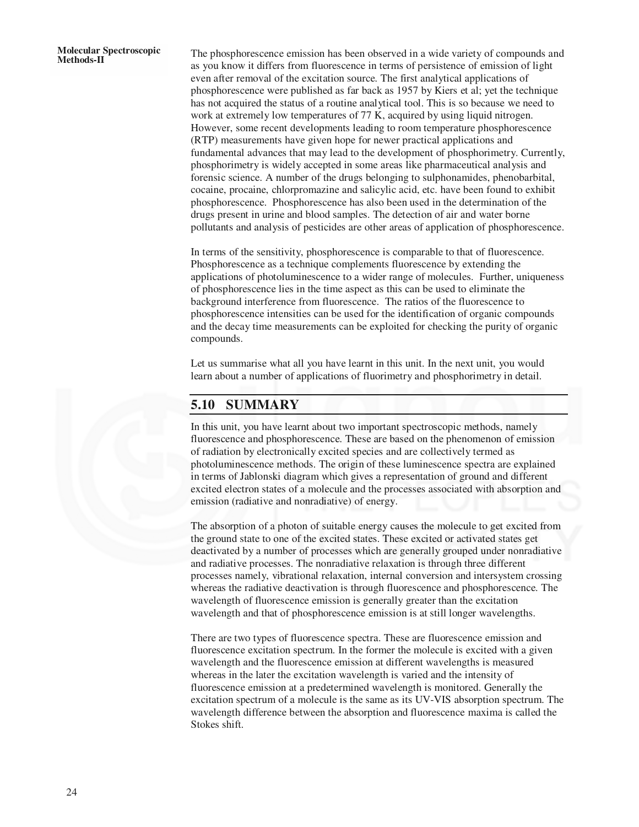The phosphorescence emission has been observed in a wide variety of compounds and as you know it differs from fluorescence in terms of persistence of emission of light even after removal of the excitation source. The first analytical applications of phosphorescence were published as far back as 1957 by Kiers et al; yet the technique has not acquired the status of a routine analytical tool. This is so because we need to work at extremely low temperatures of 77 K, acquired by using liquid nitrogen. However, some recent developments leading to room temperature phosphorescence (RTP) measurements have given hope for newer practical applications and fundamental advances that may lead to the development of phosphorimetry. Currently, phosphorimetry is widely accepted in some areas like pharmaceutical analysis and forensic science. A number of the drugs belonging to sulphonamides, phenobarbital, cocaine, procaine, chlorpromazine and salicylic acid, etc. have been found to exhibit phosphorescence. Phosphorescence has also been used in the determination of the drugs present in urine and blood samples. The detection of air and water borne pollutants and analysis of pesticides are other areas of application of phosphorescence.

In terms of the sensitivity, phosphorescence is comparable to that of fluorescence. Phosphorescence as a technique complements fluorescence by extending the applications of photoluminescence to a wider range of molecules. Further, uniqueness of phosphorescence lies in the time aspect as this can be used to eliminate the background interference from fluorescence. The ratios of the fluorescence to phosphorescence intensities can be used for the identification of organic compounds and the decay time measurements can be exploited for checking the purity of organic compounds.

Let us summarise what all you have learnt in this unit. In the next unit, you would learn about a number of applications of fluorimetry and phosphorimetry in detail.

# **5.10 SUMMARY**

In this unit, you have learnt about two important spectroscopic methods, namely fluorescence and phosphorescence. These are based on the phenomenon of emission of radiation by electronically excited species and are collectively termed as photoluminescence methods. The origin of these luminescence spectra are explained in terms of Jablonski diagram which gives a representation of ground and different excited electron states of a molecule and the processes associated with absorption and emission (radiative and nonradiative) of energy.

The absorption of a photon of suitable energy causes the molecule to get excited from the ground state to one of the excited states. These excited or activated states get deactivated by a number of processes which are generally grouped under nonradiative and radiative processes. The nonradiative relaxation is through three different processes namely, vibrational relaxation, internal conversion and intersystem crossing whereas the radiative deactivation is through fluorescence and phosphorescence. The wavelength of fluorescence emission is generally greater than the excitation wavelength and that of phosphorescence emission is at still longer wavelengths.

There are two types of fluorescence spectra. These are fluorescence emission and fluorescence excitation spectrum. In the former the molecule is excited with a given wavelength and the fluorescence emission at different wavelengths is measured whereas in the later the excitation wavelength is varied and the intensity of fluorescence emission at a predetermined wavelength is monitored. Generally the excitation spectrum of a molecule is the same as its UV-VIS absorption spectrum. The wavelength difference between the absorption and fluorescence maxima is called the Stokes shift.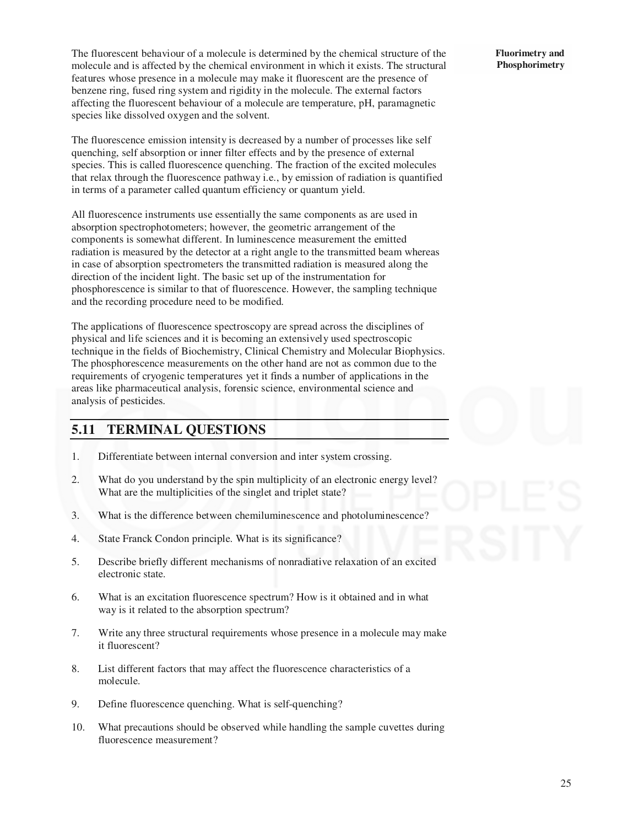The fluorescent behaviour of a molecule is determined by the chemical structure of the molecule and is affected by the chemical environment in which it exists. The structural features whose presence in a molecule may make it fluorescent are the presence of benzene ring, fused ring system and rigidity in the molecule. The external factors affecting the fluorescent behaviour of a molecule are temperature, pH, paramagnetic species like dissolved oxygen and the solvent.

The fluorescence emission intensity is decreased by a number of processes like self quenching, self absorption or inner filter effects and by the presence of external species. This is called fluorescence quenching. The fraction of the excited molecules that relax through the fluorescence pathway i.e., by emission of radiation is quantified in terms of a parameter called quantum efficiency or quantum yield.

All fluorescence instruments use essentially the same components as are used in absorption spectrophotometers; however, the geometric arrangement of the components is somewhat different. In luminescence measurement the emitted radiation is measured by the detector at a right angle to the transmitted beam whereas in case of absorption spectrometers the transmitted radiation is measured along the direction of the incident light. The basic set up of the instrumentation for phosphorescence is similar to that of fluorescence. However, the sampling technique and the recording procedure need to be modified.

The applications of fluorescence spectroscopy are spread across the disciplines of physical and life sciences and it is becoming an extensively used spectroscopic technique in the fields of Biochemistry, Clinical Chemistry and Molecular Biophysics. The phosphorescence measurements on the other hand are not as common due to the requirements of cryogenic temperatures yet it finds a number of applications in the areas like pharmaceutical analysis, forensic science, environmental science and analysis of pesticides.

## **5.11 TERMINAL QUESTIONS**

- 1. Differentiate between internal conversion and inter system crossing.
- 2. What do you understand by the spin multiplicity of an electronic energy level? What are the multiplicities of the singlet and triplet state?
- 3. What is the difference between chemiluminescence and photoluminescence?
- 4. State Franck Condon principle. What is its significance?
- 5. Describe briefly different mechanisms of nonradiative relaxation of an excited electronic state.
- 6. What is an excitation fluorescence spectrum? How is it obtained and in what way is it related to the absorption spectrum?
- 7. Write any three structural requirements whose presence in a molecule may make it fluorescent?
- 8. List different factors that may affect the fluorescence characteristics of a molecule.
- 9. Define fluorescence quenching. What is self-quenching?
- 10. What precautions should be observed while handling the sample cuvettes during fluorescence measurement?

**Fluorimetry and Phosphorimetry**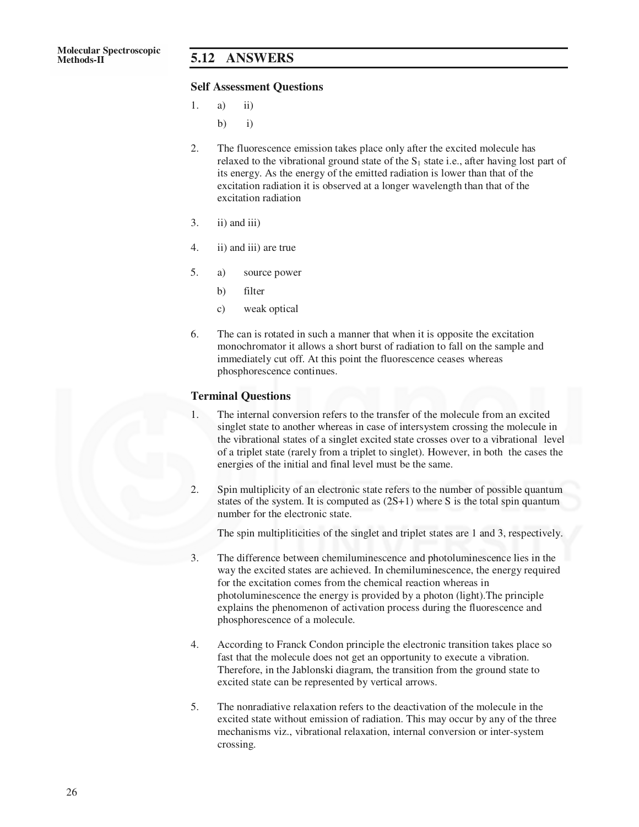#### **Methods-II 5.12 ANSWERS**

#### **Self Assessment Questions**

- 1. a) ii)
	- b)  $i)$
- 2. The fluorescence emission takes place only after the excited molecule has relaxed to the vibrational ground state of the  $S_1$  state i.e., after having lost part of its energy. As the energy of the emitted radiation is lower than that of the excitation radiation it is observed at a longer wavelength than that of the excitation radiation
- $3.$  ii) and iii)
- 4. ii) and iii) are true
- 5. a) source power
	- b) filter
	- c) weak optical
- 6. The can is rotated in such a manner that when it is opposite the excitation monochromator it allows a short burst of radiation to fall on the sample and immediately cut off. At this point the fluorescence ceases whereas phosphorescence continues.

#### **Terminal Questions**

- 1. The internal conversion refers to the transfer of the molecule from an excited singlet state to another whereas in case of intersystem crossing the molecule in the vibrational states of a singlet excited state crosses over to a vibrational level of a triplet state (rarely from a triplet to singlet). However, in both the cases the energies of the initial and final level must be the same.
- 2. Spin multiplicity of an electronic state refers to the number of possible quantum states of the system. It is computed as  $(2S+1)$  where S is the total spin quantum number for the electronic state.

The spin multipliticities of the singlet and triplet states are 1 and 3, respectively.

- 3. The difference between chemiluminescence and photoluminescence lies in the way the excited states are achieved. In chemiluminescence, the energy required for the excitation comes from the chemical reaction whereas in photoluminescence the energy is provided by a photon (light).The principle explains the phenomenon of activation process during the fluorescence and phosphorescence of a molecule.
- 4. According to Franck Condon principle the electronic transition takes place so fast that the molecule does not get an opportunity to execute a vibration. Therefore, in the Jablonski diagram, the transition from the ground state to excited state can be represented by vertical arrows.
- 5. The nonradiative relaxation refers to the deactivation of the molecule in the excited state without emission of radiation. This may occur by any of the three mechanisms viz., vibrational relaxation, internal conversion or inter-system crossing.